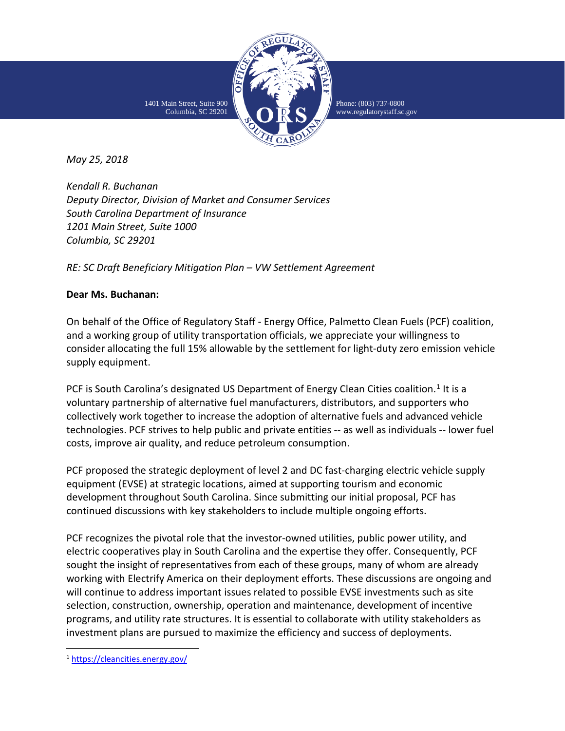1401 Main Street, Suite 900 Columbia, SC 29201



Phone: (803) 737-0800 [www.regulatorystaff.sc.gov](http://www.regulatorystaff.sc.gov/)

*May 25, 2018*

*Kendall R. Buchanan Deputy Director, Division of Market and Consumer Services South Carolina Department of Insurance 1201 Main Street, Suite 1000 Columbia, SC 29201*

## *RE: SC Draft Beneficiary Mitigation Plan – VW Settlement Agreement*

## **Dear Ms. Buchanan:**

On behalf of the Office of Regulatory Staff - Energy Office, Palmetto Clean Fuels (PCF) coalition, and a working group of utility transportation officials, we appreciate your willingness to consider allocating the full 15% allowable by the settlement for light-duty zero emission vehicle supply equipment.

PCF is South Carolina's designated US Department of Energy Clean Cities coalition.<sup>[1](#page-0-0)</sup> It is a voluntary partnership of alternative fuel manufacturers, distributors, and supporters who collectively work together to increase the adoption of alternative fuels and advanced vehicle technologies. PCF strives to help public and private entities -- as well as individuals -- lower fuel costs, improve air quality, and reduce petroleum consumption.

PCF proposed the strategic deployment of level 2 and DC fast-charging electric vehicle supply equipment (EVSE) at strategic locations, aimed at supporting tourism and economic development throughout South Carolina. Since submitting our initial proposal, PCF has continued discussions with key stakeholders to include multiple ongoing efforts.

PCF recognizes the pivotal role that the investor-owned utilities, public power utility, and electric cooperatives play in South Carolina and the expertise they offer. Consequently, PCF sought the insight of representatives from each of these groups, many of whom are already working with Electrify America on their deployment efforts. These discussions are ongoing and will continue to address important issues related to possible EVSE investments such as site selection, construction, ownership, operation and maintenance, development of incentive programs, and utility rate structures. It is essential to collaborate with utility stakeholders as investment plans are pursued to maximize the efficiency and success of deployments.

<span id="page-0-0"></span> <sup>1</sup> <https://cleancities.energy.gov/>